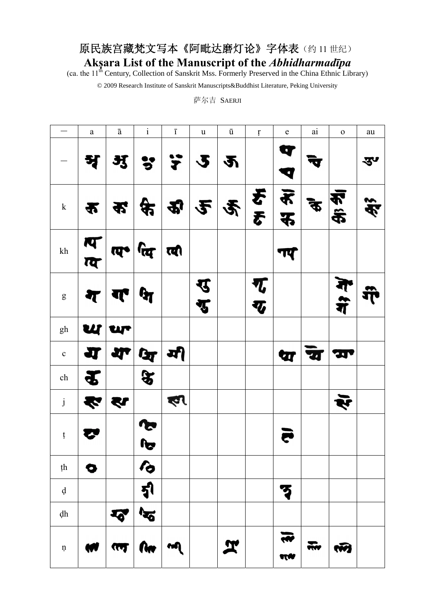## 原民族宫藏梵文写本《阿毗达磨灯论》字体表(约11世纪) **Akṣara List of the Manuscript of the** *Abhidharmadīpa*

(ca. the 11<sup>th</sup> Century, Collection of Sanskrit Mss. Formerly Preserved in the China Ethnic Library)

© 2009 Research Institute of Sanskrit Manuscripts&Buddhist Literature, Peking University

萨尔吉 SAERJI

|                           | $\rm{a}$ | $\bar{\text{a}}$                                               | $\rm i$                 | $\overline{1}$                                                                              | $\ensuremath{\mathbf u}$ | ū | $\mathfrak{t}$ | ${\bf e}$ | $\rm {ai}$          | $\mathbf 0$ | au    |
|---------------------------|----------|----------------------------------------------------------------|-------------------------|---------------------------------------------------------------------------------------------|--------------------------|---|----------------|-----------|---------------------|-------------|-------|
|                           | श्र      | $\frac{35}{4}$                                                 |                         | 3,2,2                                                                                       |                          |   |                | ٥         |                     |             | ङ्ज्य |
| ${\bf k}$                 | क        |                                                                |                         | $\mathcal{L} \left  \mathcal{L} \right  \mathcal{L} \left  \mathcal{L} \right  \mathcal{L}$ |                          |   |                | क्र अ     | $\boldsymbol{\phi}$ | 不完          | \$É   |
| $\mathrm{kh}$             |          | $\frac{1}{\sqrt{d}}$ $\frac{1}{\sqrt{d}}$ $\frac{1}{\sqrt{d}}$ |                         |                                                                                             |                          |   |                | गए        |                     |             |       |
| ${\bf g}$                 | ₹        | $\mathbf{r}$                                                   | $\mathbf{G}$            |                                                                                             | रु<br>रु                 |   | ग्द<br>ग्द     |           |                     | में<br>गैं  |       |
| $\mathbf{gh}$             |          | <b>ur</b>                                                      |                         |                                                                                             |                          |   |                |           |                     |             |       |
| $\mathbf c$               | IJ       |                                                                | ग्रा (ज्ञ   ग्री        |                                                                                             |                          |   |                | प्य       | श्च                 | ZЦ          |       |
| ${\rm ch}$                |          |                                                                | $\mathbf{\mathfrak{F}}$ |                                                                                             |                          |   |                |           |                     |             |       |
| $\mathbf{j}$              | ₹        | श्य                                                            |                         | ৰ্ণ                                                                                         |                          |   |                |           |                     | ऍ           |       |
| ţ                         |          |                                                                | <b>S</b><br>بكو         |                                                                                             |                          |   |                |           |                     |             |       |
| ţh                        | 0        |                                                                | ん                       |                                                                                             |                          |   |                |           |                     |             |       |
| $\boldsymbol{\mathrm{d}}$ |          |                                                                | <u>ह्र</u> ।            |                                                                                             |                          |   |                |           |                     |             |       |
| dh                        |          | $\overline{\cdot}$                                             | $\mathbf{\tilde{z}}$    |                                                                                             |                          |   |                |           |                     |             |       |
| $\mathfrak n$             | W        | KA                                                             | <b>RAT</b>              | m                                                                                           |                          | ፗ |                | NN        |                     | w           |       |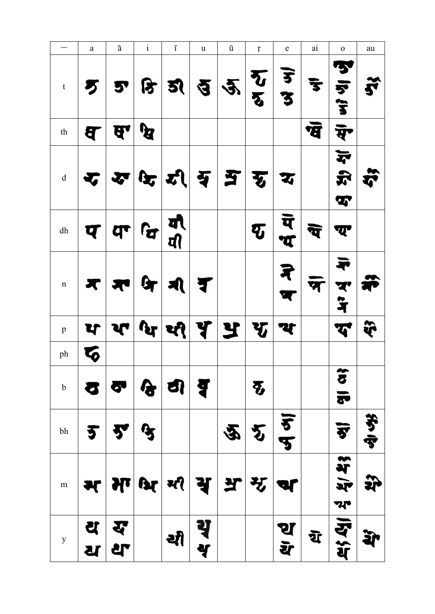|                                                    | $\mathbf{a}$ | $\bar{\text{a}}$ | $\rm i$      | $\overline{1}$              | u       | ū   | ŗ                                            | ${\bf e}$ | ai                      | $\mathbf 0$           | au     |
|----------------------------------------------------|--------------|------------------|--------------|-----------------------------|---------|-----|----------------------------------------------|-----------|-------------------------|-----------------------|--------|
| $\mathbf t$                                        |              | 5,               | क्रि         | <u>হ্য</u>                  |         | 2/2 | $\boldsymbol{\Sigma}$<br>$\overline{\bm{v}}$ | ड<br>उ    | $\overline{\mathbf{3}}$ | માં ભ                 |        |
| $\operatorname{th}$                                | य            | ਥਾ               | धि           |                             |         |     |                                              |           | भ्र                     | ਥੋ                    |        |
| $\mathrm{d}% \left\vert \mathbf{r}_{i}\right\vert$ |              | ₩                |              | $ \mathbf{x} $ री           | स्र     | E   | 丂                                            | IJ        |                         | $\vec{r}$<br>ft,<br>T | Ã      |
| ${\rm dh}$                                         | प            | $\mathbf{d}$     | $\mathbf{G}$ | यो<br>यी                    |         |     | $\boldsymbol{\bar{q}}$                       | य<br>ά    | Œ                       | ण्य                   |        |
| $\mathbf n$                                        | Х            |                  | $\mathbf{G}$ | $\mathbf{A}$                | ₹       |     |                                              | ₹         |                         | त्र<br>न              |        |
| $\, {\bf p}$                                       | प            |                  | $\mathbf{r}$ | થ્જ્                        | Y       | Y   | $\mathbf{v}$                                 | य         |                         | G                     | જૈ     |
| ph                                                 |              |                  |              |                             |         |     |                                              |           |                         |                       |        |
| $\mathbf b$                                        |              | $\bullet$        |              | $\mathcal{G}$ $\mathcal{Q}$ | ₹       |     | $\boldsymbol{\Phi}$                          |           |                         | $\alpha$              |        |
| $\operatorname{bh}$                                | 5            | 罗                | $\mathbf{G}$ |                             |         | 空   | $\bm{v}$                                     | ड<br>प    |                         | ঈ                     | おず     |
| m                                                  | म            |                  | भग श्रि सी   |                             | ਪ੍ਰ     | ਖ਼  | मृ                                           | ar        |                         | 4/43<br>까             | )<br>H |
| $\mathbf{y}$                                       | य<br>ध       | স্ব<br><b>같</b>  |              | थी                          | थृ<br>Y |     |                                              | थ<br>य    | য়                      | 马尔                    |        |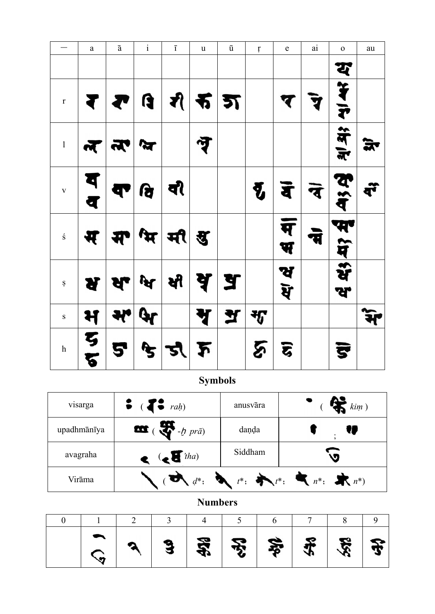|                           | $\rm{a}$ | $\bar{\text{a}}$     | $\rm i$              | $\overline{1}$             | $\ensuremath{\mathsf{u}}$ | ū | $\mathfrak{r}$        | ${\rm e}$           | ai | $\mathbf 0$             | au |
|---------------------------|----------|----------------------|----------------------|----------------------------|---------------------------|---|-----------------------|---------------------|----|-------------------------|----|
|                           |          |                      |                      |                            |                           |   |                       |                     |    | य                       |    |
| $\mathbf{r}$              | ₹        | $\blacktriangledown$ |                      | G   A   R   B              |                           |   |                       | प                   |    | $\frac{1}{4}$           |    |
| $\boldsymbol{1}$          |          | $\frac{1}{2}$        | $\tilde{\mathbf{x}}$ |                            | न्नु                      |   |                       |                     |    | में में                 | ਕਾ |
| $\mathbf V$               | य<br>व   | T                    | वि                   | वी                         |                           |   | $\boldsymbol{\delta}$ | र्वे                | ने | ये<br>मैं               | बॅ |
| $\acute{\textrm{s}}$      | म        |                      |                      | म भि मी ह                  |                           |   |                       | $\overline{P}$<br>भ |    | म<br>में                |    |
| Ş                         | ष        | <b>ਖਿ ਕਿ</b>         |                      |                            | <u>। ब्र   ब्र</u>        |   |                       | ख<br>श्             |    | र्भे<br>ਆ               |    |
| $\mathbf S$               | म        | भ                    | Gr                   |                            | Ŋ                         | Y | $\mathcal{F}$         |                     |    |                         |    |
| $\boldsymbol{\textbf{h}}$ | ट<br>ड   | 5                    |                      | $\mathcal{F} \mathcal{Z} $ | $\boldsymbol{\lambda}$    |   | <u>يج</u>             | द्ध                 |    | $\overline{\mathbf{s}}$ |    |

**Symbols** 

| visarga     | $\bullet$ ( $\bullet$ rah)            | anusvāra | $\lim$ )                                                                                                                                                                                                                                                                                                                                                          |
|-------------|---------------------------------------|----------|-------------------------------------------------------------------------------------------------------------------------------------------------------------------------------------------------------------------------------------------------------------------------------------------------------------------------------------------------------------------|
| upadhmānīya | $\frac{1}{2}$ ( $\frac{1}{2}$ -h prā) | danda    |                                                                                                                                                                                                                                                                                                                                                                   |
| avagraha    | $\left( \mathbf{c} \right)^{i_{ha}}$  | Siddham  |                                                                                                                                                                                                                                                                                                                                                                   |
| Virāma      |                                       |          | $\begin{picture}(160,170)(-10,0) \put(0,0){\vector(1,0){100}} \put(10,0){\vector(1,0){100}} \put(10,0){\vector(1,0){100}} \put(10,0){\vector(1,0){100}} \put(10,0){\vector(1,0){100}} \put(10,0){\vector(1,0){100}} \put(10,0){\vector(1,0){100}} \put(10,0){\vector(1,0){100}} \put(10,0){\vector(1,0){100}} \put(10,0){\vector(1,0){100}} \put(10,0){\vector(1$ |

## **Numbers**

|  |  | $3 \mid \frac{27}{36} \mid \frac{28}{36} \mid \frac{26}{36} \mid \frac{26}{36} \mid \frac{26}{36} \mid \frac{26}{36} \mid \frac{26}{36} \mid \frac{26}{36} \mid \frac{26}{36} \mid \frac{26}{36} \mid \frac{26}{36} \mid \frac{26}{36} \mid \frac{26}{36} \mid \frac{26}{36} \mid \frac{26}{36} \mid \frac{26}{36} \mid \frac{26}{36} \mid \frac{26}{36} \mid \frac{26}{36} \mid \frac{26}{36$ |  |  |
|--|--|------------------------------------------------------------------------------------------------------------------------------------------------------------------------------------------------------------------------------------------------------------------------------------------------------------------------------------------------------------------------------------------------|--|--|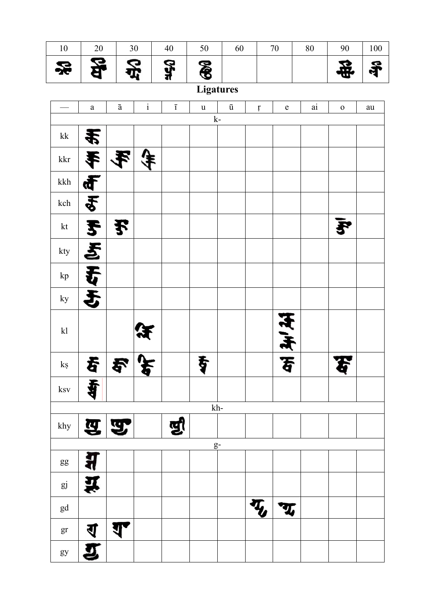| 쏬                      | 용              |                         | 옹            | <b>Str</b>     | <b>B</b>    |                    |                           |              |            |             | 导          |
|------------------------|----------------|-------------------------|--------------|----------------|-------------|--------------------|---------------------------|--------------|------------|-------------|------------|
|                        |                |                         |              |                |             | <b>Ligatures</b>   |                           |              |            |             |            |
|                        | $\mathbf{a}$   | $\bar{\text{a}}$        | $\mathbf{i}$ | $\overline{1}$ | $\mathbf u$ | $\bar{\mathrm{u}}$ | $\mathfrak{r}$            | ${\bf e}$    | $\rm {ai}$ | $\mathbf 0$ | ${\rm au}$ |
| $\mathbf{k}\mathbf{k}$ |                |                         |              |                |             | $\mathbf{k}$ -     |                           |              |            |             |            |
|                        | 毛              |                         |              |                |             |                    |                           |              |            |             |            |
| $\operatorname{kkr}$   |                |                         |              |                |             |                    |                           |              |            |             |            |
| kkh                    |                |                         |              |                |             |                    |                           |              |            |             |            |
| $\operatorname{kch}$   | $\frac{24}{3}$ |                         |              |                |             |                    |                           |              |            |             |            |
| kt                     | F              | 予                       |              |                |             |                    |                           |              |            |             |            |
| kty                    | <u>र्दू</u>    |                         |              |                |             |                    |                           |              |            |             |            |
| kp                     | 吞              |                         |              |                |             |                    |                           |              |            |             |            |
| ky                     | 5              |                         |              |                |             |                    |                           |              |            |             |            |
| k                      |                |                         |              |                |             |                    |                           | 天天           |            |             |            |
| $\mathbf{k}$ ş         | 春              | お                       |              |                | 专           |                    |                           | F            |            |             |            |
| $\rm ksv$              | Ŧ.<br>Ħ        |                         |              |                |             |                    |                           |              |            |             |            |
|                        |                |                         |              |                |             | $kh-$              |                           |              |            |             |            |
| $\operatorname{khy}$   |                | $\mathbf{Z} \mathbf{Z}$ |              | षुर            |             |                    |                           |              |            |             |            |
|                        |                |                         |              |                |             | $g-$               |                           |              |            |             |            |
| $g g$                  | <u>श्ल</u>     |                         |              |                |             |                    |                           |              |            |             |            |
| $g\bar{\text{j}}$      | í              |                         |              |                |             |                    |                           |              |            |             |            |
| gd                     |                |                         |              |                |             |                    | $\overline{\mathbf{v}}_i$ | $\mathbf{T}$ |            |             |            |
| gr                     | ব্             | ਹਾ                      |              |                |             |                    |                           |              |            |             |            |
| gy                     | J              |                         |              |                |             |                    |                           |              |            |             |            |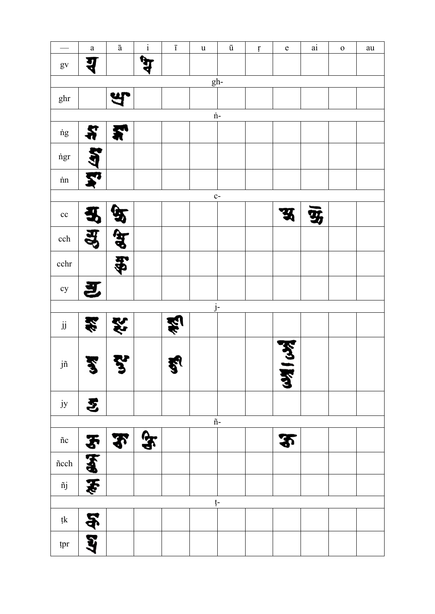|                          | $\mathbf{a}$         | $\bar{\text{a}}$ | $\rm i$      | $\overline{1}$ | $\mathbf u$ | $\bar{\text{u}}$       | $\mathfrak{r}$ | $\mathbf e$            | $\rm {ai}$ | $\mathbf 0$ | au |
|--------------------------|----------------------|------------------|--------------|----------------|-------------|------------------------|----------------|------------------------|------------|-------------|----|
| $\mathbf{g}\mathbf{v}$   |                      |                  |              |                |             |                        |                |                        |            |             |    |
|                          |                      |                  |              |                |             | $gh-$                  |                |                        |            |             |    |
| ghr                      |                      |                  |              |                |             |                        |                |                        |            |             |    |
|                          |                      |                  |              |                |             | $\dot{\text{n}}$ -     |                |                        |            |             |    |
| $\dot{\rm n} {\rm g}$    | ä                    | 矛                |              |                |             |                        |                |                        |            |             |    |
| ngr                      |                      |                  |              |                |             |                        |                |                        |            |             |    |
| $\dot{\text{nn}}$        |                      |                  |              |                |             |                        |                |                        |            |             |    |
|                          |                      |                  |              |                |             | $c-$                   |                |                        |            |             |    |
| cc                       |                      |                  |              |                |             |                        |                | З                      | Ψ,         |             |    |
| $\operatorname{cch}$     |                      |                  |              |                |             |                        |                |                        |            |             |    |
| cchr                     |                      | \$               |              |                |             |                        |                |                        |            |             |    |
| cy                       | 互                    |                  |              |                |             |                        |                |                        |            |             |    |
|                          |                      |                  |              |                |             | $j-$                   |                |                        |            |             |    |
| $\ddot{\text{j}}$        | 釜                    | 终                |              |                |             |                        |                |                        |            |             |    |
| jñ                       | €                    | ∍                |              | <b>ક્ષ</b>     |             |                        |                | <b>KKY</b><br><b>Z</b> |            |             |    |
| ${\rm jy}$               | 氢                    |                  |              |                |             |                        |                |                        |            |             |    |
|                          |                      |                  |              |                |             | $\tilde{\mathbf{n}}$ - |                |                        |            |             |    |
| $\ \mathbf{c}$           |                      | $\mathbf{r}$     | $\mathbf{F}$ |                |             |                        |                | $\mathbf{P}$           |            |             |    |
| $\mathsf{\tilde{n}cch}$  | <b>Ry kno</b>        |                  |              |                |             |                        |                |                        |            |             |    |
| $\ \v$ j                 | $\frac{1}{\epsilon}$ |                  |              |                |             |                        |                |                        |            |             |    |
|                          |                      |                  |              |                |             | ţ-                     |                |                        |            |             |    |
| $\mathfrak{t}\mathbf{k}$ |                      |                  |              |                |             |                        |                |                        |            |             |    |
| tpr                      | 56 67                |                  |              |                |             |                        |                |                        |            |             |    |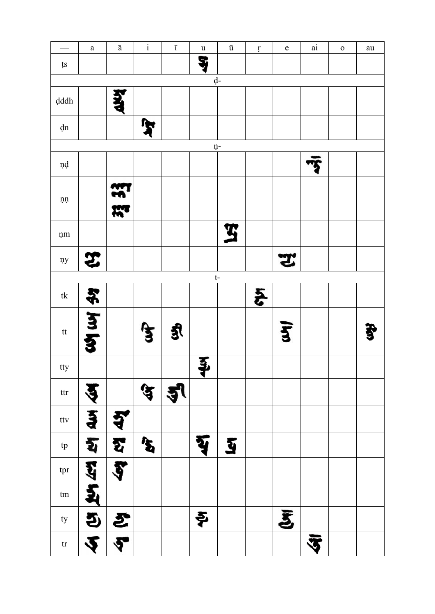|                                                                                                | $\mathbf{a}$               | $\bar{\text{a}}$ | $\mathbf{i}$          | $\overline{1}$ | $\ensuremath{\mathbf u}$ | $\bar{\text{u}}$        | $\mathfrak{r}$  | $\mathbf e$        | $\rm {ai}$               | $\mathbf{O}$ | au |
|------------------------------------------------------------------------------------------------|----------------------------|------------------|-----------------------|----------------|--------------------------|-------------------------|-----------------|--------------------|--------------------------|--------------|----|
| ţs                                                                                             |                            |                  |                       |                | ş                        |                         |                 |                    |                          |              |    |
|                                                                                                |                            |                  |                       |                |                          | d-                      |                 |                    |                          |              |    |
| $\boldsymbol{\mathrm{d}}\boldsymbol{\mathrm{d}}\boldsymbol{\mathrm{d}}\boldsymbol{\mathrm{h}}$ |                            | i<br>S           |                       |                |                          |                         |                 |                    |                          |              |    |
| ${\rm dn}$                                                                                     |                            |                  | $\mathbf{F}$          |                |                          |                         |                 |                    |                          |              |    |
|                                                                                                |                            |                  |                       |                |                          | ņ-                      |                 |                    |                          |              |    |
| ņd                                                                                             |                            |                  |                       |                |                          |                         |                 |                    |                          |              |    |
| $\mathop{\rm nn}\nolimits$                                                                     |                            | <b>3333</b>      |                       |                |                          |                         |                 |                    |                          |              |    |
| ņm                                                                                             |                            |                  |                       |                |                          | $\mathbf{\overline{3}}$ |                 |                    |                          |              |    |
| ņy                                                                                             | E.                         |                  |                       |                |                          |                         |                 | Ľ                  |                          |              |    |
|                                                                                                |                            |                  |                       |                |                          | $t-$                    |                 |                    |                          |              |    |
| $\ensuremath{\text{t}}\xspace\ensuremath{\text{k}}\xspace$                                     | $\frac{1}{2}$              |                  |                       |                |                          |                         | $\ddot{\bm{z}}$ |                    |                          |              |    |
| $\ensuremath{\mathsf{t}}\ensuremath{\mathsf{t}}$                                               | र्थ प्र                    |                  | 兮                     | કુ             |                          |                         |                 | $\bar{\mathbf{z}}$ |                          |              |    |
| tty                                                                                            |                            |                  |                       |                | Į                        |                         |                 |                    |                          |              |    |
| $_{\rm tr}$                                                                                    |                            |                  | ५                     | $\mathbf{3}$   |                          |                         |                 |                    |                          |              |    |
| ttv                                                                                            | $\tilde{3}$                | य                |                       |                |                          |                         |                 |                    |                          |              |    |
| ${\rm tp}$                                                                                     | হ                          | L.               | $\boldsymbol{\delta}$ |                | यु                       | <u>រ</u>                |                 |                    |                          |              |    |
| tpr                                                                                            | <u>41</u>                  | Ş                |                       |                |                          |                         |                 |                    |                          |              |    |
| $\mathop{\text{tm}}$                                                                           | <u>इ</u>                   |                  |                       |                |                          |                         |                 |                    |                          |              |    |
| $\tt{ty}$                                                                                      |                            | 5/5              |                       |                | そ                        |                         |                 | $\bar{\bm{z}}$     |                          |              |    |
| tr                                                                                             | $\overline{\blacklozenge}$ | $\overline{P}$   |                       |                |                          |                         |                 |                    | $\bar{\bar{\mathbf{3}}}$ |              |    |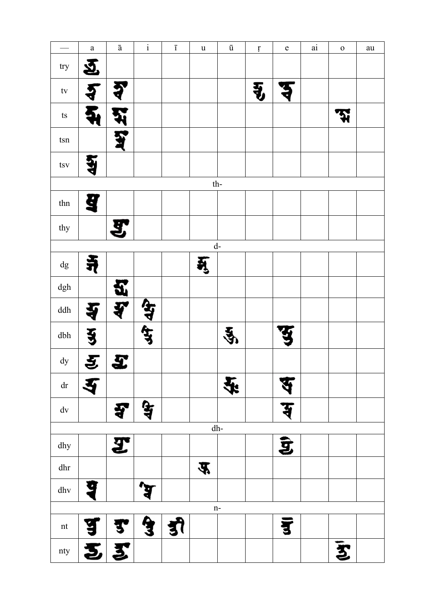|                                  | $\mathbf{a}$         | $\bar{\text{a}}$            | $\rm i$            | $\overline{1}$ | $\mathbf u$ | $\bar{\text{u}}$     | $\mathfrak{r}$       | $\mathbf e$ | $\rm {ai}$ | ${\bf O}$       | au |
|----------------------------------|----------------------|-----------------------------|--------------------|----------------|-------------|----------------------|----------------------|-------------|------------|-----------------|----|
| try                              | $\tilde{\mathbf{p}}$ |                             |                    |                |             |                      |                      |             |            |                 |    |
| $\mathop{\mathsf{tv}}$           |                      |                             |                    |                |             |                      | $\ddot{\bm{\theta}}$ |             |            |                 |    |
| $\mathop{\rm ts}\nolimits$       |                      |                             |                    |                |             |                      |                      |             |            | ন্ম             |    |
| $\tan$                           |                      |                             |                    |                |             |                      |                      |             |            |                 |    |
| $t{\rm sv}$                      |                      |                             |                    |                |             |                      |                      |             |            |                 |    |
|                                  |                      |                             |                    |                |             | $th-$                |                      |             |            |                 |    |
| $_{\text{thn}}$                  | 9                    |                             |                    |                |             |                      |                      |             |            |                 |    |
| thy                              |                      | 모.                          |                    |                |             |                      |                      |             |            |                 |    |
|                                  |                      |                             |                    |                |             | $\mathrm{d}\text{-}$ |                      |             |            |                 |    |
| $\mathrm{d}\mathrm{g}$           | 1                    |                             |                    |                | मु          |                      |                      |             |            |                 |    |
| $\mathrm{dgh}$                   |                      | J.                          |                    |                |             |                      |                      |             |            |                 |    |
| $\mathrm{d}\mathrm{d}\mathrm{h}$ |                      | 7                           | <u>क्षे</u>        |                |             |                      |                      |             |            |                 |    |
| dbh                              | $\ddot{\bm{3}}$      |                             |                    |                |             | Ý                    |                      |             |            |                 |    |
| $\mathrm{d}\mathrm{y}$           | इ                    | £                           |                    |                |             |                      |                      |             |            |                 |    |
| ${\rm d} {\bf r}$                | $\blacktriangledown$ |                             |                    |                |             | 全                    |                      |             |            |                 |    |
| $\mathrm{d}\mathrm{v}$           |                      | श्च                         | $\mathbf{\hat{z}}$ |                |             |                      |                      | द           |            |                 |    |
|                                  |                      |                             |                    |                |             | ${\rm dh}\text{-}$   |                      |             |            |                 |    |
| dhy                              |                      | $\boldsymbol{\mathfrak{F}}$ |                    |                |             |                      |                      | Ĵ           |            |                 |    |
| ${\rm dhr}$                      |                      |                             |                    |                | 平           |                      |                      |             |            |                 |    |
| $d$ hv                           | g                    |                             |                    |                |             |                      |                      |             |            |                 |    |
|                                  |                      |                             |                    |                |             | $n-$                 |                      |             |            |                 |    |
| $\mathop{\rm nt}\nolimits$       |                      |                             | G                  |                |             |                      |                      |             |            |                 |    |
| nty                              |                      | 55                          |                    |                |             |                      |                      |             |            | $\ddot{\bm{z}}$ |    |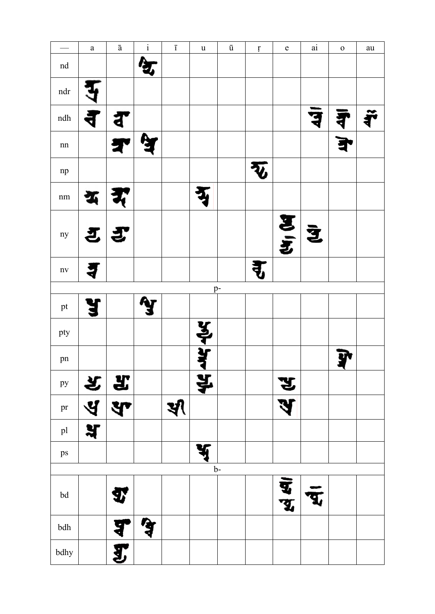|                             | $\mathbf{a}$ | $\bar{\text{a}}$ | $\rm i$ | $\overline{\text{I}}$ | $\mathbf u$ | $\bar{\text{u}}$ | $\mathfrak{r}$          | $\mathbf e$ | $\rm {ai}$ | $\mathbf 0$ | ${\rm au}$ |
|-----------------------------|--------------|------------------|---------|-----------------------|-------------|------------------|-------------------------|-------------|------------|-------------|------------|
| $\operatorname{nd}$         |              |                  |         |                       |             |                  |                         |             |            |             |            |
| $\operatorname{ndr}$        |              |                  |         |                       |             |                  |                         |             |            |             |            |
| $\mathop{\rm ndh}\nolimits$ | ₹            |                  |         |                       |             |                  |                         |             |            |             |            |
| $\rm{nn}$                   |              |                  |         |                       |             |                  |                         |             |            |             |            |
| $\rm np$                    |              |                  |         |                       |             |                  | $\overline{\mathbf{v}}$ |             |            |             |            |
| $\rm nm$                    |              |                  |         |                       |             |                  |                         |             |            |             |            |
| ny                          |              | さぎ               |         |                       |             |                  |                         | 医三          | Ž          |             |            |
| $\mathbf{n}\mathbf{v}$      |              |                  |         |                       |             |                  |                         |             |            |             |            |
|                             |              |                  |         |                       |             | p-               |                         |             |            |             |            |
| $\operatorname{pt}$         |              |                  |         |                       |             |                  |                         |             |            |             |            |
| pty                         |              |                  |         |                       | प्रोर्ग     |                  |                         |             |            |             |            |
| pn                          |              |                  |         |                       |             |                  |                         |             |            |             |            |
| py                          |              | $x$ $x$          |         |                       | ¥,          |                  |                         | ञ्ज         |            |             |            |
| pr                          | $\mathbf{y}$ | स                |         | খ                     |             |                  |                         |             |            |             |            |
| $\mathop{\rm pl}\nolimits$  | भ्र          |                  |         |                       |             |                  |                         |             |            |             |            |
| ps                          |              |                  |         |                       |             |                  |                         |             |            |             |            |
|                             |              |                  |         |                       |             | $b-$             |                         |             |            |             |            |
| $\operatorname{bd}$         |              | 9,               |         |                       |             |                  |                         | पु<br>Ť,    |            |             |            |
| $\operatorname{\sf bdh}$    |              | ś                |         |                       |             |                  |                         |             |            |             |            |
| bdhy                        |              | L                |         |                       |             |                  |                         |             |            |             |            |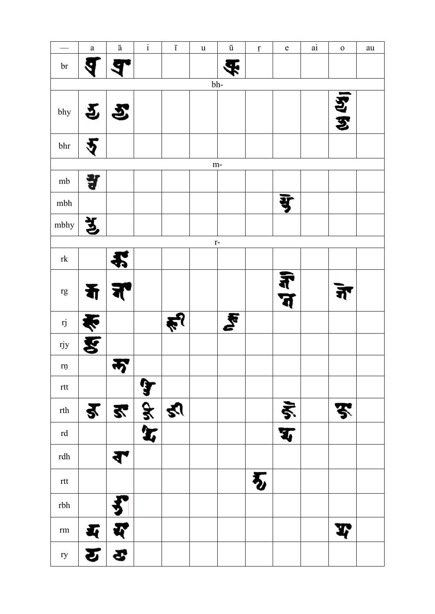|                                                                                              | $\mathbf{a}$ | $\bar{\text{a}}$                                      | $\rm i$ | $\overline{1}$ | $\ensuremath{\mathsf{u}}$ | $\bar{\text{u}}$ | $\mathfrak{r}$ | ${\bf e}$       | ai | $\mathbf 0$ | au |
|----------------------------------------------------------------------------------------------|--------------|-------------------------------------------------------|---------|----------------|---------------------------|------------------|----------------|-----------------|----|-------------|----|
| $\mathop{\text{br}}$                                                                         |              |                                                       |         |                |                           |                  |                |                 |    |             |    |
|                                                                                              |              |                                                       |         |                |                           | bh-              |                |                 |    |             |    |
| bhy                                                                                          |              | $\mathbf{P} \mathbf{P}$                               |         |                |                           |                  |                |                 |    | 29/24       |    |
| $\rm bhr$                                                                                    |              |                                                       |         |                |                           |                  |                |                 |    |             |    |
|                                                                                              |              |                                                       |         |                | $m-$                      |                  |                |                 |    |             |    |
| mb                                                                                           | 렇            |                                                       |         |                |                           |                  |                |                 |    |             |    |
| $\mathbf{m}\mathbf{b}\mathbf{h}$                                                             |              |                                                       |         |                |                           |                  |                | यु              |    |             |    |
| mbhy                                                                                         | र्भु         |                                                       |         |                |                           |                  |                |                 |    |             |    |
|                                                                                              |              |                                                       |         |                | $r-$                      |                  |                |                 |    |             |    |
| $\ensuremath{\text{rk}}$                                                                     |              |                                                       |         |                |                           |                  |                |                 |    |             |    |
| $\mathbf{r}\mathbf{g}$                                                                       | 看            |                                                       |         |                |                           |                  |                | ज्ञै<br>प       |    | र्न         |    |
| rj                                                                                           | ण्ड का       |                                                       |         |                |                           | <b>R</b>         |                |                 |    |             |    |
| rjy                                                                                          |              |                                                       |         |                |                           |                  |                |                 |    |             |    |
| $\mathop{\mathrm{rn}}$                                                                       |              | 7                                                     |         |                |                           |                  |                |                 |    |             |    |
| $\operatorname{rtt}$                                                                         |              |                                                       | J       |                |                           |                  |                |                 |    |             |    |
| $\ensuremath{\mathsf{r}}\xspace\ensuremath{\mathsf{t}}\xspace\ensuremath{\mathsf{h}}\xspace$ |              | <u>र र है य</u>                                       |         |                |                           |                  |                | $rac{\xi}{\xi}$ |    | F           |    |
| $\ensuremath{\operatorname{rd}}$                                                             |              |                                                       |         |                |                           |                  |                |                 |    |             |    |
| $\ensuremath{\text{rdh}}$                                                                    |              | ₹                                                     |         |                |                           |                  |                |                 |    |             |    |
| $\operatorname{rtt}$                                                                         |              |                                                       |         |                |                           |                  | 石              |                 |    |             |    |
| $\rm rbh$                                                                                    |              |                                                       |         |                |                           |                  |                |                 |    |             |    |
| $\rm rm$                                                                                     | <b>K</b>     | म्                                                    |         |                |                           |                  |                |                 |    | Į           |    |
| ry                                                                                           |              | $\boldsymbol{\varepsilon}$ $\boldsymbol{\varepsilon}$ |         |                |                           |                  |                |                 |    |             |    |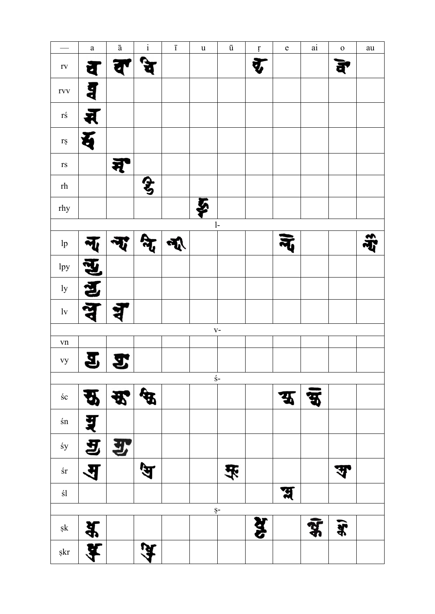|                                 | $\mathbf{a}$            | $\mathbf{\bar{a}}$ | $\rm i$ | $\overline{1}$ | $\ensuremath{\mathbf u}$ | $\bar{\text{u}}$       | $\mathfrak l$ | ${\bf e}$               | $\rm {ai}$ | ${\bf O}$ | au |
|---------------------------------|-------------------------|--------------------|---------|----------------|--------------------------|------------------------|---------------|-------------------------|------------|-----------|----|
| $\Gamma \mathrm{V}$             | व                       | ਹ                  |         |                |                          |                        | $\bar{q}$     |                         |            | बे        |    |
| rvv                             | <b>g</b>                |                    |         |                |                          |                        |               |                         |            |           |    |
| $r\acute{s}$                    | Ŕ                       |                    |         |                |                          |                        |               |                         |            |           |    |
| $\mathbf{r}\mathbf{s}$          | 五                       |                    |         |                |                          |                        |               |                         |            |           |    |
| $\Gamma \mathrm{S}$             |                         | न्                 |         |                |                          |                        |               |                         |            |           |    |
| $\ensuremath{\text{rh}}$        |                         |                    | E       |                |                          |                        |               |                         |            |           |    |
| rhy                             |                         |                    |         |                | Š                        |                        |               |                         |            |           |    |
|                                 |                         |                    |         |                |                          | $\mathbf{l}$ -         |               |                         |            |           |    |
| $\ensuremath{\text{lp}}\xspace$ |                         |                    |         |                |                          |                        |               |                         |            |           |    |
| 1py                             | <u>सु</u><br>ह          |                    |         |                |                          |                        |               |                         |            |           |    |
| 1y                              |                         |                    |         |                |                          |                        |               |                         |            |           |    |
| $\ensuremath{\text{lv}}$        |                         |                    |         |                |                          |                        |               |                         |            |           |    |
|                                 |                         |                    |         |                |                          | $V -$                  |               |                         |            |           |    |
| ${\bf v}{\bf n}$                |                         |                    |         |                |                          |                        |               |                         |            |           |    |
| vy                              | 9                       | ÿ,                 |         |                |                          |                        |               |                         |            |           |    |
|                                 |                         |                    |         |                |                          | $\acute{\textrm{s}}$ - |               |                         |            |           |    |
| $\pm {\rm c}$                   | स्र                     | 妥                  | के      |                |                          |                        |               | $\overline{\mathbf{A}}$ | Ċ.         |           |    |
| $\pm n$                         | यू                      |                    |         |                |                          |                        |               |                         |            |           |    |
| $\pm y$                         | $\mathbf{z}$            | 罗                  |         |                |                          |                        |               |                         |            |           |    |
| $\pm r$                         | $\overline{\mathbf{A}}$ |                    | 每       |                |                          | 买                      |               |                         |            | \$        |    |
| $\pm 1$                         |                         |                    |         |                |                          |                        |               | स्र                     |            |           |    |
|                                 |                         |                    |         |                |                          | $S-$                   |               |                         |            |           |    |
| $\mathbf{sk}$                   | $\frac{4}{3}$           |                    |         |                |                          |                        | यू            |                         | 9.         | Î         |    |
| $\mathop{\rm skr}\nolimits$     | Ħ                       |                    | ਘ       |                |                          |                        |               |                         |            |           |    |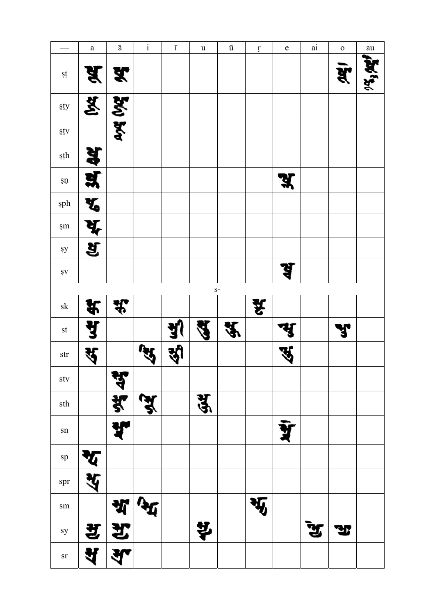|                                                 | $\rm{a}$                | $\bar{\text{a}}$ | $\rm i$ | $\overline{\text{I}}$ | $\mathbf u$ | $\bar{\text{u}}$    | $\mathfrak{r}$ | $\mathbf e$ | $\rm ai$ | $\mathbf 0$ | ${\rm au}$    |
|-------------------------------------------------|-------------------------|------------------|---------|-----------------------|-------------|---------------------|----------------|-------------|----------|-------------|---------------|
| şţ                                              | पू                      | X                |         |                       |             |                     |                |             |          | ब्रें       | $\frac{1}{2}$ |
| sty                                             | 区                       | 260 500          |         |                       |             |                     |                |             |          |             |               |
| şţv                                             |                         |                  |         |                       |             |                     |                |             |          |             |               |
| şţh                                             | 34 44                   |                  |         |                       |             |                     |                |             |          |             |               |
| $\mathfrak{sp}% _{2}\left( \mathfrak{m}\right)$ |                         |                  |         |                       |             |                     |                | <b>K</b>    |          |             |               |
| sph                                             | $\overline{\mathbf{X}}$ |                  |         |                       |             |                     |                |             |          |             |               |
| $\pm m$                                         | भू                      |                  |         |                       |             |                     |                |             |          |             |               |
| $\rm{sy}$                                       | ब्र                     |                  |         |                       |             |                     |                |             |          |             |               |
| $\pmb{\mathsf{S}}\pmb{\mathsf{V}}$              |                         |                  |         |                       |             |                     |                | Ŝ           |          |             |               |
|                                                 |                         |                  |         |                       |             | $S-$                |                |             |          |             |               |
| ${\rm sk}$                                      |                         | सूर              |         |                       |             |                     | Â.             |             |          |             |               |
| $\operatorname{st}$                             | 实出                      |                  |         | <u>जु</u>             | Ч           | $\hat{\mathcal{X}}$ |                |             |          | r.          |               |
| $\operatorname{str}$                            | #                       |                  |         |                       |             |                     |                | સ           |          |             |               |
| $\mathrm{stv}$                                  |                         | स्रु             |         |                       |             |                     |                |             |          |             |               |
| sth                                             |                         | $\frac{1}{2}$    |         |                       | यु          |                     |                |             |          |             |               |
| ${\rm sn}$                                      |                         |                  |         |                       |             |                     |                |             |          |             |               |
| ${\rm sp}$                                      |                         |                  |         |                       |             |                     |                |             |          |             |               |
| spr                                             |                         |                  |         |                       |             |                     |                |             |          |             |               |
| $\operatorname{sm}$                             |                         |                  |         |                       |             |                     |                |             |          |             |               |
| sy                                              | 艺                       | 艺                |         |                       | 벟           |                     |                |             |          | Ŀ           |               |
|                                                 |                         |                  |         |                       |             |                     |                |             |          |             |               |